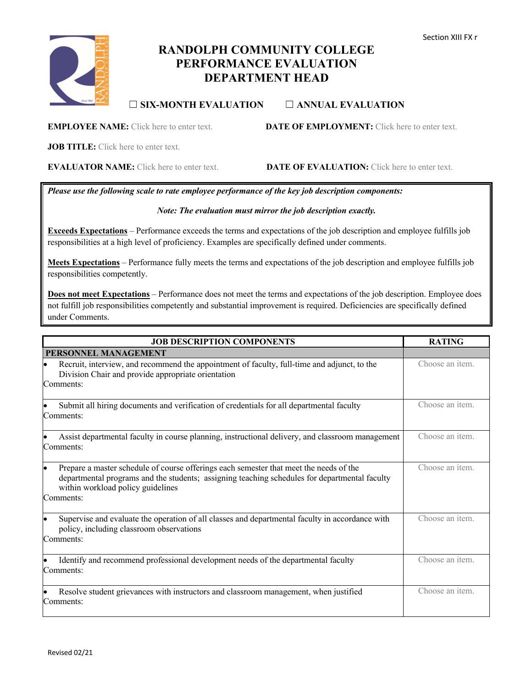# **RANDOLPH COMMUNITY COLLEGE PERFORMANCE EVALUATION DEPARTMENT HEAD**

## ☐ **SIX-MONTH EVALUATION** ☐ **ANNUAL EVALUATION**

**JOB TITLE:** Click here to enter text.

**EVALUATOR NAME:** Click here to enter text. **DATE OF EVALUATION:** Click here to enter text.

*Please use the following scale to rate employee performance of the key job description components:*

#### *Note: The evaluation must mirror the job description exactly.*

**Exceeds Expectations** – Performance exceeds the terms and expectations of the job description and employee fulfills job responsibilities at a high level of proficiency. Examples are specifically defined under comments.

**Meets Expectations** – Performance fully meets the terms and expectations of the job description and employee fulfills job responsibilities competently.

**Does not meet Expectations** – Performance does not meet the terms and expectations of the job description. Employee does not fulfill job responsibilities competently and substantial improvement is required. Deficiencies are specifically defined under Comments.

| <b>JOB DESCRIPTION COMPONENTS</b>                                                                                                                                                                                                               | <b>RATING</b>   |
|-------------------------------------------------------------------------------------------------------------------------------------------------------------------------------------------------------------------------------------------------|-----------------|
| PERSONNEL MANAGEMENT                                                                                                                                                                                                                            |                 |
| Recruit, interview, and recommend the appointment of faculty, full-time and adjunct, to the<br>Division Chair and provide appropriate orientation<br>Comments:                                                                                  | Choose an item. |
| Submit all hiring documents and verification of credentials for all departmental faculty<br>Comments:                                                                                                                                           | Choose an item. |
| Assist departmental faculty in course planning, instructional delivery, and classroom management<br>Comments:                                                                                                                                   | Choose an item. |
| Prepare a master schedule of course offerings each semester that meet the needs of the<br>lo<br>departmental programs and the students; assigning teaching schedules for departmental faculty<br>within workload policy guidelines<br>Comments: | Choose an item. |
| Supervise and evaluate the operation of all classes and departmental faculty in accordance with<br>policy, including classroom observations<br>Comments:                                                                                        | Choose an item. |
| Identify and recommend professional development needs of the departmental faculty<br>Comments:                                                                                                                                                  | Choose an item. |
| Resolve student grievances with instructors and classroom management, when justified<br>Comments:                                                                                                                                               | Choose an item. |



**EMPLOYEE NAME:** Click here to enter text. **DATE OF EMPLOYMENT:** Click here to enter text.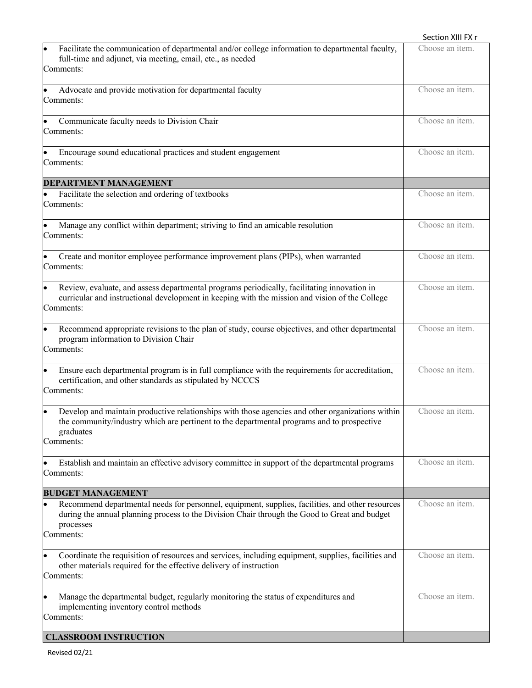|                                                                                                                                                                                                                          | Section XIII FX r |
|--------------------------------------------------------------------------------------------------------------------------------------------------------------------------------------------------------------------------|-------------------|
| Facilitate the communication of departmental and/or college information to departmental faculty,<br>full-time and adjunct, via meeting, email, etc., as needed<br>Comments:                                              | Choose an item.   |
| Advocate and provide motivation for departmental faculty<br>Comments:                                                                                                                                                    | Choose an item.   |
| Communicate faculty needs to Division Chair<br>Comments:                                                                                                                                                                 | Choose an item.   |
| Encourage sound educational practices and student engagement<br>Comments:                                                                                                                                                | Choose an item.   |
| <b>DEPARTMENT MANAGEMENT</b>                                                                                                                                                                                             |                   |
| Facilitate the selection and ordering of textbooks<br>Comments:                                                                                                                                                          | Choose an item.   |
| Manage any conflict within department; striving to find an amicable resolution<br>Comments:                                                                                                                              | Choose an item.   |
| Create and monitor employee performance improvement plans (PIPs), when warranted<br>Comments:                                                                                                                            | Choose an item.   |
| Review, evaluate, and assess departmental programs periodically, facilitating innovation in<br>curricular and instructional development in keeping with the mission and vision of the College<br>Comments:               | Choose an item.   |
| Recommend appropriate revisions to the plan of study, course objectives, and other departmental<br>program information to Division Chair<br>Comments:                                                                    | Choose an item.   |
| Ensure each departmental program is in full compliance with the requirements for accreditation,<br>certification, and other standards as stipulated by NCCCS<br>Comments:                                                | Choose an item.   |
| Develop and maintain productive relationships with those agencies and other organizations within<br>the community/industry which are pertinent to the departmental programs and to prospective<br>graduates<br>Comments: | Choose an item.   |
| Establish and maintain an effective advisory committee in support of the departmental programs<br>Comments:                                                                                                              | Choose an item.   |
| <b>BUDGET MANAGEMENT</b>                                                                                                                                                                                                 |                   |
| Recommend departmental needs for personnel, equipment, supplies, facilities, and other resources<br>during the annual planning process to the Division Chair through the Good to Great and budget<br>processes           | Choose an item.   |
| Comments:                                                                                                                                                                                                                |                   |
| Coordinate the requisition of resources and services, including equipment, supplies, facilities and<br>$\bullet$<br>other materials required for the effective delivery of instruction<br>Comments:                      | Choose an item.   |
| Manage the departmental budget, regularly monitoring the status of expenditures and<br>implementing inventory control methods<br>Comments:                                                                               | Choose an item.   |
| <b>CLASSROOM INSTRUCTION</b>                                                                                                                                                                                             |                   |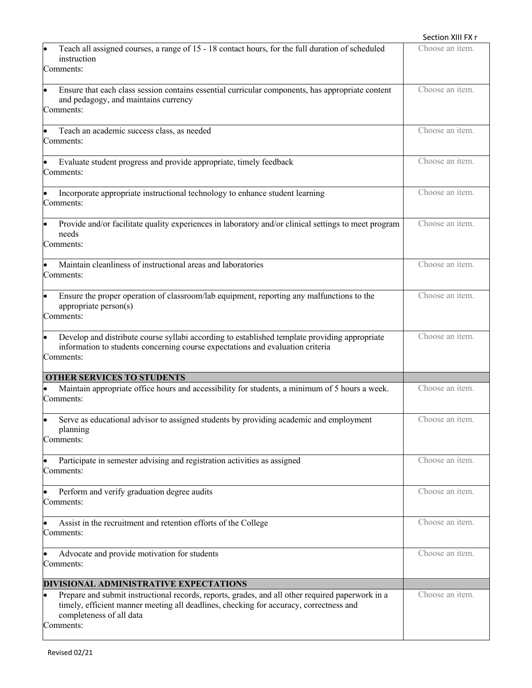|                                                                                                                                                                                                                                     | Section XIII FX r |
|-------------------------------------------------------------------------------------------------------------------------------------------------------------------------------------------------------------------------------------|-------------------|
| Teach all assigned courses, a range of 15 - 18 contact hours, for the full duration of scheduled<br>instruction<br>Comments:                                                                                                        | Choose an item.   |
| Ensure that each class session contains essential curricular components, has appropriate content<br>and pedagogy, and maintains currency<br>Comments:                                                                               | Choose an item.   |
| Teach an academic success class, as needed<br>Comments:                                                                                                                                                                             | Choose an item.   |
| Evaluate student progress and provide appropriate, timely feedback<br>Comments:                                                                                                                                                     | Choose an item.   |
| Incorporate appropriate instructional technology to enhance student learning<br>Comments:                                                                                                                                           | Choose an item.   |
| Provide and/or facilitate quality experiences in laboratory and/or clinical settings to meet program<br>needs<br>Comments:                                                                                                          | Choose an item.   |
| Maintain cleanliness of instructional areas and laboratories<br>Comments:                                                                                                                                                           | Choose an item.   |
| Ensure the proper operation of classroom/lab equipment, reporting any malfunctions to the<br>appropriate person(s)<br>Comments:                                                                                                     | Choose an item.   |
| Develop and distribute course syllabi according to established template providing appropriate<br>information to students concerning course expectations and evaluation criteria<br>Comments:                                        | Choose an item.   |
| <b>OTHER SERVICES TO STUDENTS</b>                                                                                                                                                                                                   |                   |
| Maintain appropriate office hours and accessibility for students, a minimum of 5 hours a week.<br>Comments:                                                                                                                         | Choose an item.   |
| Serve as educational advisor to assigned students by providing academic and employment<br>planning<br>Comments:                                                                                                                     | Choose an item.   |
| Participate in semester advising and registration activities as assigned<br>Comments:                                                                                                                                               | Choose an item.   |
| Perform and verify graduation degree audits<br>Comments:                                                                                                                                                                            | Choose an item.   |
| Assist in the recruitment and retention efforts of the College<br>Comments:                                                                                                                                                         | Choose an item.   |
| Advocate and provide motivation for students<br>Comments:                                                                                                                                                                           | Choose an item.   |
| DIVISIONAL ADMINISTRATIVE EXPECTATIONS                                                                                                                                                                                              |                   |
| Prepare and submit instructional records, reports, grades, and all other required paperwork in a<br>timely, efficient manner meeting all deadlines, checking for accuracy, correctness and<br>completeness of all data<br>Comments: | Choose an item.   |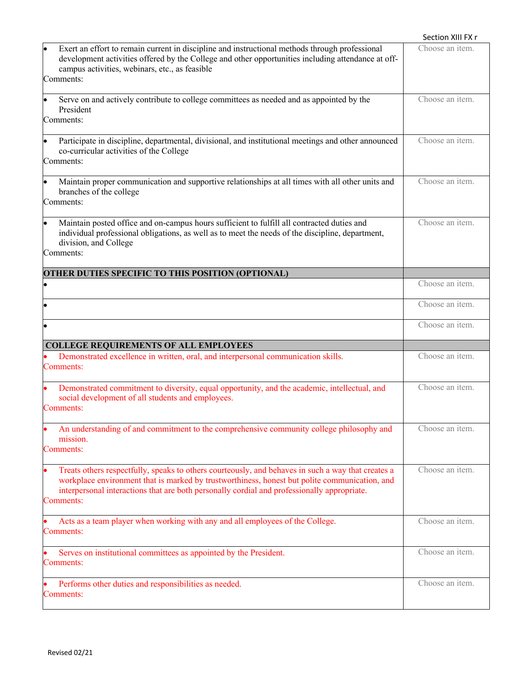|                                                                                                                                                                                                                                                                                                                 | Section XIII FX r       |
|-----------------------------------------------------------------------------------------------------------------------------------------------------------------------------------------------------------------------------------------------------------------------------------------------------------------|-------------------------|
| Exert an effort to remain current in discipline and instructional methods through professional<br>development activities offered by the College and other opportunities including attendance at off-<br>campus activities, webinars, etc., as feasible<br>Comments:                                             | Choose an item.         |
| Serve on and actively contribute to college committees as needed and as appointed by the<br>President<br>Comments:                                                                                                                                                                                              | Choose an item.         |
| Participate in discipline, departmental, divisional, and institutional meetings and other announced<br>$\bullet$<br>co-curricular activities of the College<br>Comments:                                                                                                                                        | Choose an item.         |
| Maintain proper communication and supportive relationships at all times with all other units and<br>$\bullet$<br>branches of the college<br>Comments:                                                                                                                                                           | Choose an item.         |
| Maintain posted office and on-campus hours sufficient to fulfill all contracted duties and<br> .<br>individual professional obligations, as well as to meet the needs of the discipline, department,<br>division, and College<br>Comments:                                                                      | Choose an item.         |
| <b>OTHER DUTIES SPECIFIC TO THIS POSITION (OPTIONAL)</b>                                                                                                                                                                                                                                                        |                         |
| $\bullet$                                                                                                                                                                                                                                                                                                       | Choose an item.         |
|                                                                                                                                                                                                                                                                                                                 | Choose an item.         |
| $\bullet$                                                                                                                                                                                                                                                                                                       | Choose an item.         |
| <b>COLLEGE REQUIREMENTS OF ALL EMPLOYEES</b>                                                                                                                                                                                                                                                                    |                         |
| Demonstrated excellence in written, oral, and interpersonal communication skills.<br>Comments:                                                                                                                                                                                                                  | Choose an item.         |
| Demonstrated commitment to diversity, equal opportunity, and the academic, intellectual, and<br>social development of all students and employees.<br>Comments:                                                                                                                                                  | Choose an item.         |
| An understanding of and commitment to the comprehensive community college philosophy and<br>mission.<br>Comments:                                                                                                                                                                                               | Choose an item.         |
| Treats others respectfully, speaks to others courteously, and behaves in such a way that creates a<br>workplace environment that is marked by trustworthiness, honest but polite communication, and<br>interpersonal interactions that are both personally cordial and professionally appropriate.<br>Comments: | Choose an item.         |
| Acts as a team player when working with any and all employees of the College.<br>Comments:                                                                                                                                                                                                                      | Choose an item.         |
| Serves on institutional committees as appointed by the President.<br>Comments:                                                                                                                                                                                                                                  | Choose an <i>item</i> . |
| Performs other duties and responsibilities as needed.<br>Comments:                                                                                                                                                                                                                                              | Choose an <i>item</i> . |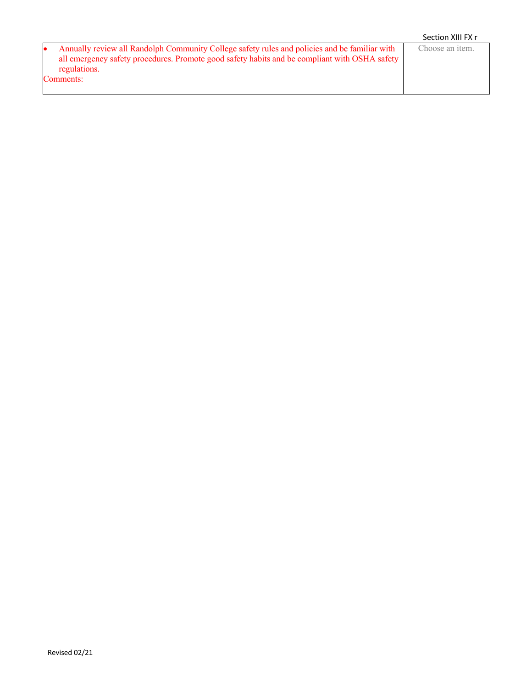|                                                                                               | Section XIII FX r       |
|-----------------------------------------------------------------------------------------------|-------------------------|
| Annually review all Randolph Community College safety rules and policies and be familiar with | Choose an <i>item</i> . |
| all emergency safety procedures. Promote good safety habits and be compliant with OSHA safety |                         |
| regulations.                                                                                  |                         |
| Comments:                                                                                     |                         |
|                                                                                               |                         |